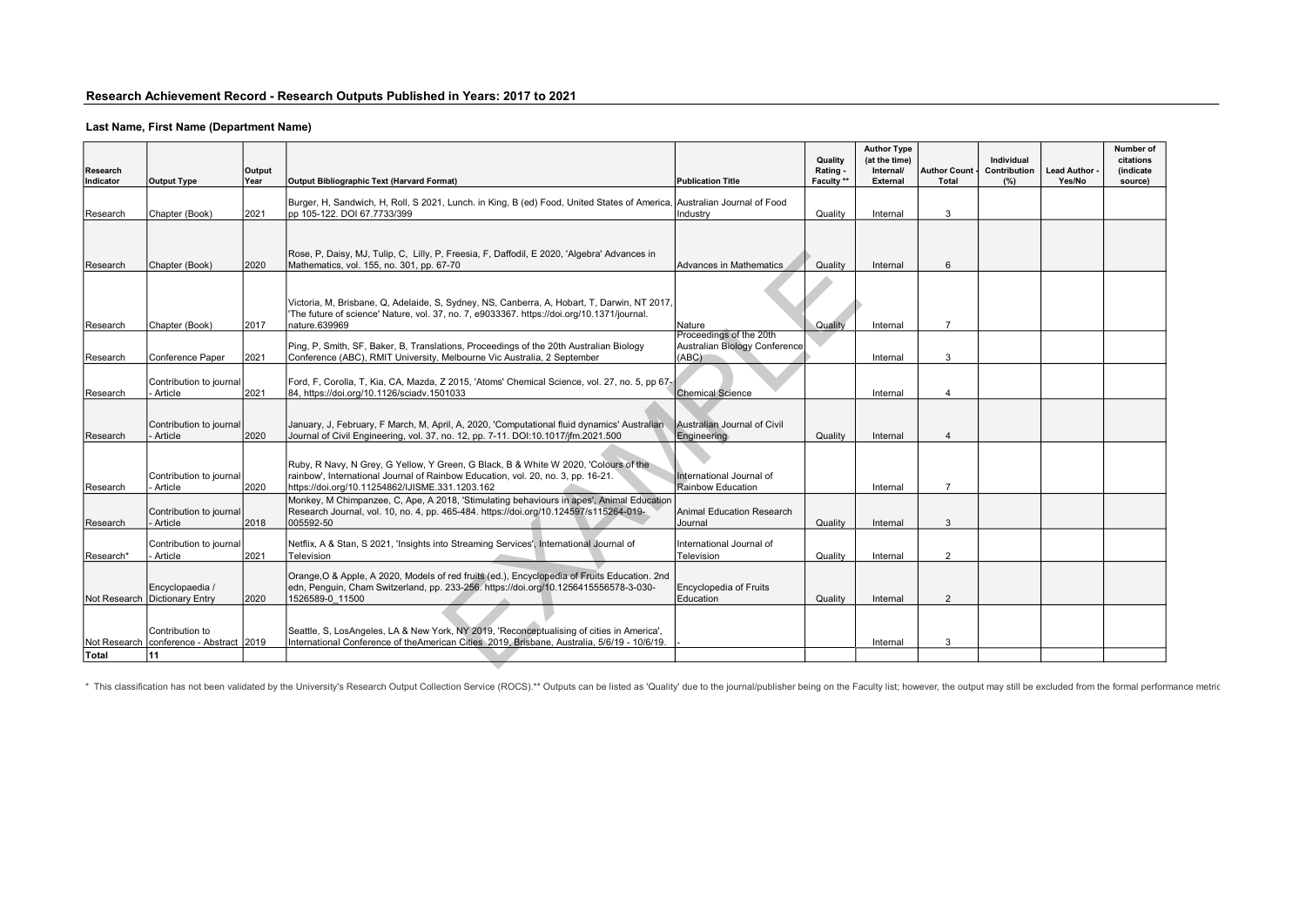# Last Name, First Name (Department Name)

| Research<br>Indicator | <b>Output Type</b>                               | Output<br>Year | Output Bibliographic Text (Harvard Format)                                                                                                                                                                                 | <b>Publication Title</b>                                          | Quality<br>Rating -<br>Faculty ** | <b>Author Type</b><br>(at the time)<br>Internal/<br><b>External</b> | <b>Author Count</b><br><b>Total</b> | Individual<br>Contribution<br>(%) | <b>Lead Author</b><br>Yes/No | Number of<br>citations<br>(indicate<br>source) |
|-----------------------|--------------------------------------------------|----------------|----------------------------------------------------------------------------------------------------------------------------------------------------------------------------------------------------------------------------|-------------------------------------------------------------------|-----------------------------------|---------------------------------------------------------------------|-------------------------------------|-----------------------------------|------------------------------|------------------------------------------------|
| Research              | Chapter (Book)                                   | 2021           | Burger, H. Sandwich, H. Roll, S 2021, Lunch. in King, B (ed) Food, United States of America, Australian Journal of Food<br>pp 105-122. DOI 67.7733/399                                                                     | Industry                                                          | Quality                           | Internal                                                            | 3                                   |                                   |                              |                                                |
| Research              | Chapter (Book)                                   | 2020           | Rose, P, Daisy, MJ, Tulip, C, Lilly, P, Freesia, F, Daffodil, E 2020, 'Algebra' Advances in<br>Mathematics, vol. 155, no. 301, pp. 67-70                                                                                   | Advances in Mathematics                                           | Quality                           | Internal                                                            | 6                                   |                                   |                              |                                                |
| Research              | Chapter (Book)                                   | 2017           | Victoria, M, Brisbane, Q, Adelaide, S, Sydney, NS, Canberra, A, Hobart, T, Darwin, NT 2017,<br>'The future of science' Nature, vol. 37, no. 7, e9033367. https://doi.org/10.1371/journal.<br>nature.639969                 | Nature                                                            | Quality                           | Internal                                                            | $\overline{7}$                      |                                   |                              |                                                |
| Research              | Conference Paper                                 | 2021           | Ping, P, Smith, SF, Baker, B, Translations, Proceedings of the 20th Australian Biology<br>Conference (ABC), RMIT University, Melbourne Vic Australia, 2 September                                                          | Proceedings of the 20th<br>Australian Biology Conference<br>(ABC) |                                   | Internal                                                            | 3                                   |                                   |                              |                                                |
| Research              | Contribution to journal<br>Article               | 2021           | Ford, F, Corolla, T, Kia, CA, Mazda, Z 2015, 'Atoms' Chemical Science, vol. 27, no. 5, pp 67-<br>84, https://doi.org/10.1126/sciadv.1501033                                                                                | <b>Chemical Science</b>                                           |                                   | Internal                                                            | 4                                   |                                   |                              |                                                |
| Research              | Contribution to journal<br>Article               | 2020           | January, J. February, F March, M. April, A. 2020, 'Computational fluid dynamics' Australian<br>Journal of Civil Engineering, vol. 37, no. 12, pp. 7-11. DOI:10.1017/jfm.2021.500                                           | Australian Journal of Civil<br>Engineering                        | Quality                           | Internal                                                            |                                     |                                   |                              |                                                |
| IResearch             | Contribution to iournal<br>Article               | 2020           | Ruby, R Navy, N Grey, G Yellow, Y Green, G Black, B & White W 2020, 'Colours of the<br>rainbow', International Journal of Rainbow Education, vol. 20, no. 3, pp. 16-21.<br>https://doi.org/10.11254862/IJISME.331.1203.162 | International Journal of<br>Rainbow Education                     |                                   | Internal                                                            | $\overline{7}$                      |                                   |                              |                                                |
| Research              | Contribution to journal<br>Article               | 2018           | Monkey, M Chimpanzee, C, Ape, A 2018, 'Stimulating behaviours in apes', Animal Education<br>Research Journal, vol. 10, no. 4, pp. 465-484. https://doi.org/10.124597/s115264-019-<br>005592-50                             | Animal Education Research<br>Journal                              | Quality                           | Internal                                                            | 3                                   |                                   |                              |                                                |
| Research*             | Contribution to journal<br>Article               | 2021           | Netflix, A & Stan, S 2021, 'Insights into Streaming Services', International Journal of<br>Television                                                                                                                      | International Journal of<br>Television                            | Quality                           | Internal                                                            | 2                                   |                                   |                              |                                                |
|                       | Encyclopaedia /<br>Not Research Dictionary Entry | 2020           | Orange, O & Apple, A 2020, Models of red fruits (ed.), Encyclopedia of Fruits Education. 2nd<br>edn, Penguin, Cham Switzerland, pp. 233-256. https://doi.org/10.1256415556578-3-030-<br>1526589-0 11500                    | Encyclopedia of Fruits<br>Education                               | Quality                           | Internal                                                            | 2                                   |                                   |                              |                                                |
| Not Research          | Contribution to<br>conference - Abstract 2019    |                | Seattle, S, LosAngeles, LA & New York, NY 2019, 'Reconceptualising of cities in America',<br>International Conference of theAmerican Cities 2019, Brisbane, Australia, 5/6/19 - 10/6/19.                                   |                                                                   |                                   | Internal                                                            | 3                                   |                                   |                              |                                                |
| Total                 | 11                                               |                |                                                                                                                                                                                                                            |                                                                   |                                   |                                                                     |                                     |                                   |                              |                                                |

\* This classification has not been validated by the University's Research Output Collection Service (ROCS).\*\* Outputs can be listed as 'Quality' due to the journal/publisher being on the Faculty list; however, the output m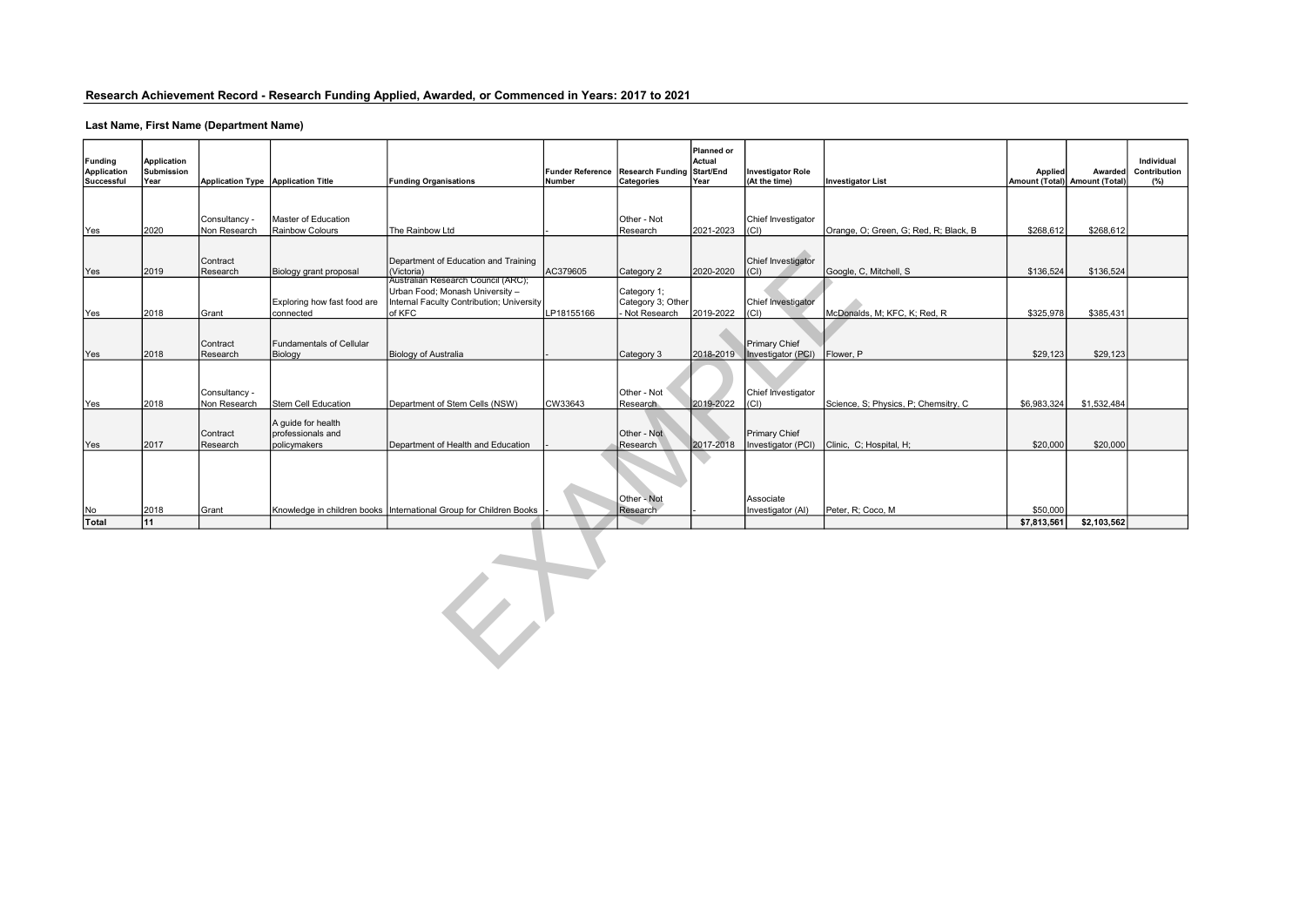# Research Achievement Record - Research Funding Applied, Awarded, or Commenced in Years: 2017 to 2021

# Last Name, First Name (Department Name)

| Funding<br>Application<br>Successful | Application<br>Submission<br>Year                  | Application Type Application Title |                                                         | <b>Funding Organisations</b>                                                                                                 | Number     | Funder Reference Research Funding Start/End<br>Categories | Planned or<br>Actual<br>Year | Investigator Role<br>(At the time)      | <b>Investigator List</b>              | <b>Applied</b> | <b>Awarded</b><br>Amount (Total) Amount (Total) | Individual<br>Contribution<br>(%) |  |
|--------------------------------------|----------------------------------------------------|------------------------------------|---------------------------------------------------------|------------------------------------------------------------------------------------------------------------------------------|------------|-----------------------------------------------------------|------------------------------|-----------------------------------------|---------------------------------------|----------------|-------------------------------------------------|-----------------------------------|--|
|                                      |                                                    |                                    | Master of Education                                     |                                                                                                                              |            | Other - Not                                               |                              | Chief Investigator                      |                                       |                |                                                 |                                   |  |
| Yes                                  | 2020                                               | Consultancy -<br>Non Research      | Rainbow Colours                                         | The Rainbow Ltd                                                                                                              |            | Research                                                  | 2021-2023                    | (CI)                                    | Orange, O; Green, G; Red, R; Black, B | \$268,612      | \$268,612                                       |                                   |  |
| Yes                                  | 2019                                               | Contract<br>Research               | Biology grant proposal                                  | Department of Education and Training<br>(Victoria)                                                                           | AC379605   | Category 2                                                | 2020-2020                    | Chief Investigator<br>  <sub>(CI)</sub> | Google, C, Mitchell, S                | \$136,524      | \$136,524                                       |                                   |  |
| Yes                                  | 2018                                               | Grant                              | Exploring how fast food are<br>connected                | Australian Research Council (ARC);<br>Urban Food; Monash University -<br>Internal Faculty Contribution; University<br>of KFC | LP18155166 | Category 1;<br>Category 3; Other<br>Not Research          | 2019-2022                    | Chief Investigator<br>(CI)              | McDonalds, M; KFC, K; Red, R          | \$325,978      | \$385,431                                       |                                   |  |
| Yes                                  | 2018                                               | <b>Contract</b><br>Research        | Fundamentals of Cellular<br>Biology                     | Biology of Australia                                                                                                         |            | Category 3                                                | 2018-2019                    | Primary Chief<br>Investigator (PCI)     | Flower, P                             | \$29,123       | \$29,123                                        |                                   |  |
| Yes                                  | 2018                                               | Consultancy -<br>Non Research      | Stem Cell Education                                     | Department of Stem Cells (NSW)                                                                                               | CW33643    | Other - Not<br>Research                                   | 2019-2022                    | Chief Investigator<br>I(CI)             | Science, S; Physics, P; Chemsitry, C  | \$6,983,324    | \$1,532,484                                     |                                   |  |
| Yes                                  | 2017                                               | Contract<br>Research               | A quide for health<br>professionals and<br>policymakers | Department of Health and Education                                                                                           |            | Other - Not<br>Research                                   | 2017-2018                    | Primary Chief<br>Investigator (PCI)     | Clinic, C; Hospital, H;               | \$20,000       | \$20,000                                        |                                   |  |
|                                      | 2018                                               | Grant                              |                                                         | Knowledge in children books   International Group for Children Books                                                         |            | Other - Not<br>Research                                   |                              | Associate                               | Peter, R; Coco, M                     | \$50,000       |                                                 |                                   |  |
| No<br>Total                          | 11                                                 |                                    |                                                         |                                                                                                                              |            |                                                           |                              | Investigator (AI)                       |                                       |                |                                                 |                                   |  |
|                                      | \$7,813,561<br>\$2,103,562<br>$\blacktriangledown$ |                                    |                                                         |                                                                                                                              |            |                                                           |                              |                                         |                                       |                |                                                 |                                   |  |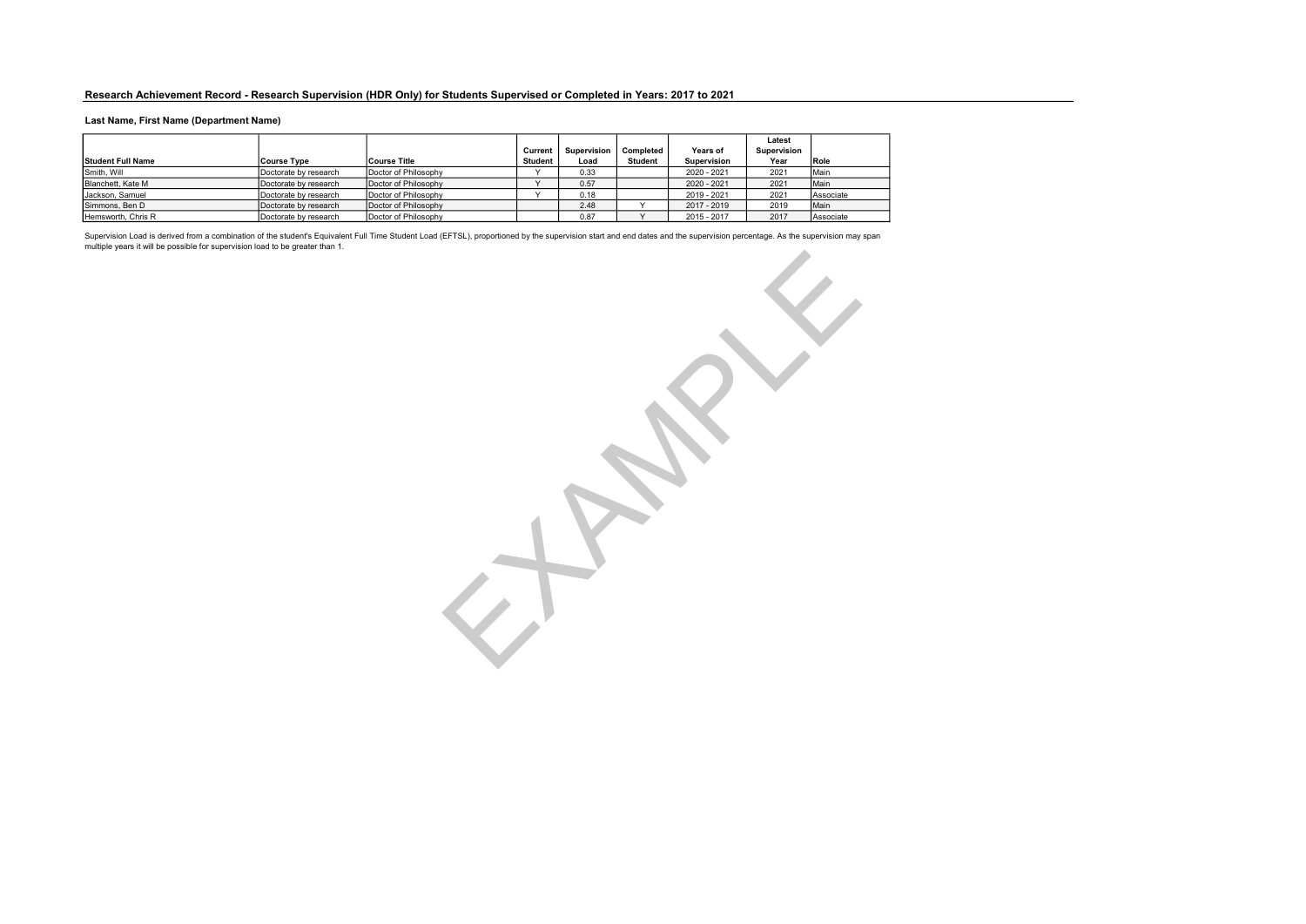#### Last Name, First Name (Department Name)

|                          |                       |                      |           |                    |                |                    | Latest      |           |
|--------------------------|-----------------------|----------------------|-----------|--------------------|----------------|--------------------|-------------|-----------|
|                          |                       |                      | Current   | <b>Supervision</b> | Completed      | Years of           | Supervision |           |
| <b>Student Full Name</b> | <b>Course Type</b>    | Course Title         | Student   | Load               | <b>Student</b> | <b>Supervision</b> | Year        | Role      |
| Smith, Will              | Doctorate by research | Doctor of Philosophy | $\cdot$   | 0.33               |                | 2020 - 2021        | 2021        | Main      |
| Blanchett, Kate M        | Doctorate by research | Doctor of Philosophy | $\lambda$ | 0.57               |                | 2020 - 2021        | 2021        | Main      |
| Jackson, Samuel          | Doctorate by research | Doctor of Philosophy |           | 0.18               |                | 2019 - 2021        | 2021        | Associate |
| Simmons, Ben D           | Doctorate by research | Doctor of Philosophy |           | 2.48               |                | 2017 - 2019        | 2019        | Main      |
| Hemsworth, Chris R       | Doctorate by research | Doctor of Philosophy |           | 0.87               |                | 2015 - 2017        | 2017        | Associate |

Supervision Load is derived from a combination of the student's Equivalent Full Time Student Load (EFTSL), proportioned by the supervision start and end dates and the supervision percentage. As the supervision may span<br>mul EXAMPLE 19